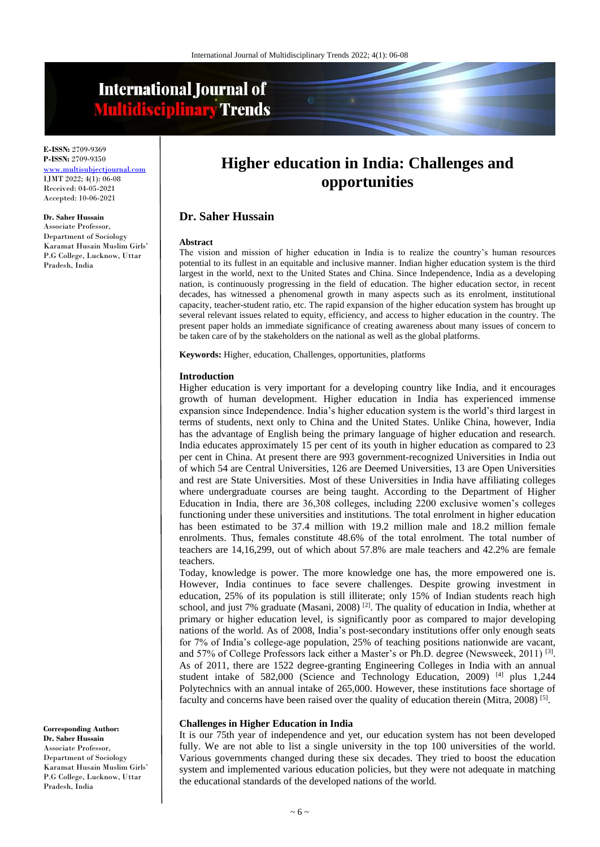# **International Journal of Multidisciplinary Trends**

**E-ISSN:** 2709-9369 **P-ISSN:** 2709-9350 [www.multisubjectjournal.com](http://www.multisubjectjournal.com/) IJMT 2022; 4(1): 06-08 Received: 04-05-2021 Accepted: 10-06-2021

#### **Dr. Saher Hussain**

Associate Professor, Department of Sociology Karamat Husain Muslim Girls' P.G College, Lucknow, Uttar Pradesh, India

**Higher education in India: Challenges and opportunities**

# **Dr. Saher Hussain**

#### **Abstract**

The vision and mission of higher education in India is to realize the country's human resources potential to its fullest in an equitable and inclusive manner. Indian higher education system is the third largest in the world, next to the United States and China. Since Independence, India as a developing nation, is continuously progressing in the field of education. The higher education sector, in recent decades, has witnessed a phenomenal growth in many aspects such as its enrolment, institutional capacity, teacher-student ratio, etc. The rapid expansion of the higher education system has brought up several relevant issues related to equity, efficiency, and access to higher education in the country. The present paper holds an immediate significance of creating awareness about many issues of concern to be taken care of by the stakeholders on the national as well as the global platforms.

**Keywords:** Higher, education, Challenges, opportunities, platforms

#### **Introduction**

Higher education is very important for a developing country like India, and it encourages growth of human development. Higher education in India has experienced immense expansion since Independence. India's higher education system is the world's third largest in terms of students, next only to China and the United States. Unlike China, however, India has the advantage of English being the primary language of higher education and research. India educates approximately 15 per cent of its youth in higher education as compared to 23 per cent in China. At present there are 993 government-recognized Universities in India out of which 54 are Central Universities, 126 are Deemed Universities, 13 are Open Universities and rest are State Universities. Most of these Universities in India have affiliating colleges where undergraduate courses are being taught. According to the Department of Higher Education in India, there are 36,308 colleges, including 2200 exclusive women's colleges functioning under these universities and institutions. The total enrolment in higher education has been estimated to be 37.4 million with 19.2 million male and 18.2 million female enrolments. Thus, females constitute 48.6% of the total enrolment. The total number of teachers are 14,16,299, out of which about 57.8% are male teachers and 42.2% are female teachers.

Today, knowledge is power. The more knowledge one has, the more empowered one is. However, India continues to face severe challenges. Despite growing investment in education, 25% of its population is still illiterate; only 15% of Indian students reach high school, and just 7% graduate (Masani, 2008)<sup>[2]</sup>. The quality of education in India, whether at primary or higher education level, is significantly poor as compared to major developing nations of the world. As of 2008, India's post-secondary institutions offer only enough seats for 7% of India's college-age population, 25% of teaching positions nationwide are vacant, and 57% of College Professors lack either a Master's or Ph.D. degree (Newsweek, 2011)<sup>[3]</sup>. As of 2011, there are 1522 degree-granting Engineering Colleges in India with an annual student intake of 582,000 (Science and Technology Education, 2009) [4] plus 1,244 Polytechnics with an annual intake of 265,000. However, these institutions face shortage of faculty and concerns have been raised over the quality of education therein (Mitra, 2008)<sup>[5]</sup>.

### **Challenges in Higher Education in India**

It is our 75th year of independence and yet, our education system has not been developed fully. We are not able to list a single university in the top 100 universities of the world. Various governments changed during these six decades. They tried to boost the education system and implemented various education policies, but they were not adequate in matching the educational standards of the developed nations of the world.

**Corresponding Author: Dr. Saher Hussain** Associate Professor, Department of Sociology Karamat Husain Muslim Girls' P.G College, Lucknow, Uttar Pradesh, India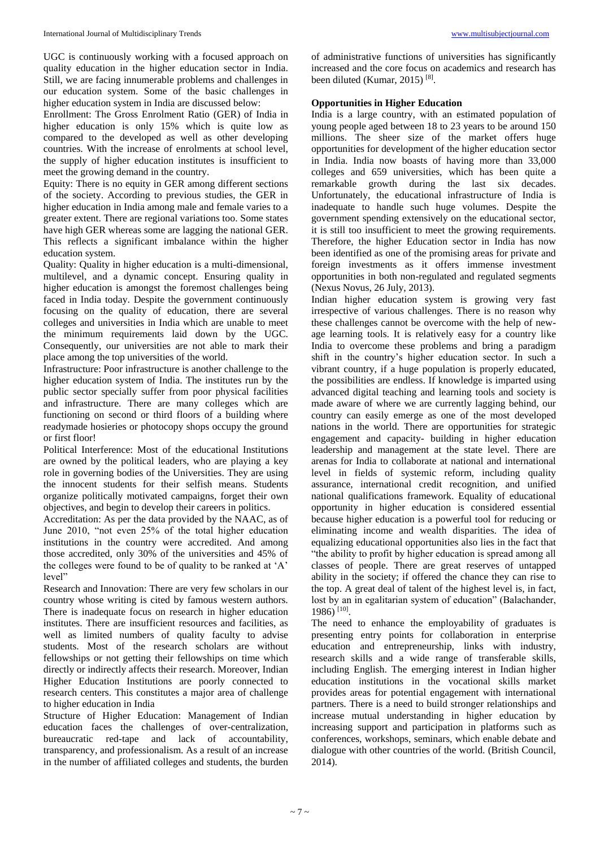UGC is continuously working with a focused approach on quality education in the higher education sector in India. Still, we are facing innumerable problems and challenges in our education system. Some of the basic challenges in higher education system in India are discussed below:

Enrollment: The Gross Enrolment Ratio (GER) of India in higher education is only 15% which is quite low as compared to the developed as well as other developing countries. With the increase of enrolments at school level, the supply of higher education institutes is insufficient to meet the growing demand in the country.

Equity: There is no equity in GER among different sections of the society. According to previous studies, the GER in higher education in India among male and female varies to a greater extent. There are regional variations too. Some states have high GER whereas some are lagging the national GER. This reflects a significant imbalance within the higher education system.

Quality: Quality in higher education is a multi-dimensional, multilevel, and a dynamic concept. Ensuring quality in higher education is amongst the foremost challenges being faced in India today. Despite the government continuously focusing on the quality of education, there are several colleges and universities in India which are unable to meet the minimum requirements laid down by the UGC. Consequently, our universities are not able to mark their place among the top universities of the world.

Infrastructure: Poor infrastructure is another challenge to the higher education system of India. The institutes run by the public sector specially suffer from poor physical facilities and infrastructure. There are many colleges which are functioning on second or third floors of a building where readymade hosieries or photocopy shops occupy the ground or first floor!

Political Interference: Most of the educational Institutions are owned by the political leaders, who are playing a key role in governing bodies of the Universities. They are using the innocent students for their selfish means. Students organize politically motivated campaigns, forget their own objectives, and begin to develop their careers in politics.

Accreditation: As per the data provided by the NAAC, as of June 2010, "not even 25% of the total higher education institutions in the country were accredited. And among those accredited, only 30% of the universities and 45% of the colleges were found to be of quality to be ranked at 'A' level"

Research and Innovation: There are very few scholars in our country whose writing is cited by famous western authors. There is inadequate focus on research in higher education institutes. There are insufficient resources and facilities, as well as limited numbers of quality faculty to advise students. Most of the research scholars are without fellowships or not getting their fellowships on time which directly or indirectly affects their research. Moreover, Indian Higher Education Institutions are poorly connected to research centers. This constitutes a major area of challenge to higher education in India

Structure of Higher Education: Management of Indian education faces the challenges of over-centralization, bureaucratic red-tape and lack of accountability, transparency, and professionalism. As a result of an increase in the number of affiliated colleges and students, the burden of administrative functions of universities has significantly increased and the core focus on academics and research has been diluted (Kumar, 2015)<sup>[8]</sup>.

## **Opportunities in Higher Education**

India is a large country, with an estimated population of young people aged between 18 to 23 years to be around 150 millions. The sheer size of the market offers huge opportunities for development of the higher education sector in India. India now boasts of having more than 33,000 colleges and 659 universities, which has been quite a remarkable growth during the last six decades. Unfortunately, the educational infrastructure of India is inadequate to handle such huge volumes. Despite the government spending extensively on the educational sector, it is still too insufficient to meet the growing requirements. Therefore, the higher Education sector in India has now been identified as one of the promising areas for private and foreign investments as it offers immense investment opportunities in both non-regulated and regulated segments (Nexus Novus, 26 July, 2013).

Indian higher education system is growing very fast irrespective of various challenges. There is no reason why these challenges cannot be overcome with the help of newage learning tools. It is relatively easy for a country like India to overcome these problems and bring a paradigm shift in the country's higher education sector. In such a vibrant country, if a huge population is properly educated, the possibilities are endless. If knowledge is imparted using advanced digital teaching and learning tools and society is made aware of where we are currently lagging behind, our country can easily emerge as one of the most developed nations in the world. There are opportunities for strategic engagement and capacity- building in higher education leadership and management at the state level. There are arenas for India to collaborate at national and international level in fields of systemic reform, including quality assurance, international credit recognition, and unified national qualifications framework. Equality of educational opportunity in higher education is considered essential because higher education is a powerful tool for reducing or eliminating income and wealth disparities. The idea of equalizing educational opportunities also lies in the fact that "the ability to profit by higher education is spread among all classes of people. There are great reserves of untapped ability in the society; if offered the chance they can rise to the top. A great deal of talent of the highest level is, in fact, lost by an in egalitarian system of education" (Balachander, 1986) [10] .

The need to enhance the employability of graduates is presenting entry points for collaboration in enterprise education and entrepreneurship, links with industry, research skills and a wide range of transferable skills, including English. The emerging interest in Indian higher education institutions in the vocational skills market provides areas for potential engagement with international partners. There is a need to build stronger relationships and increase mutual understanding in higher education by increasing support and participation in platforms such as conferences, workshops, seminars, which enable debate and dialogue with other countries of the world. (British Council, 2014).